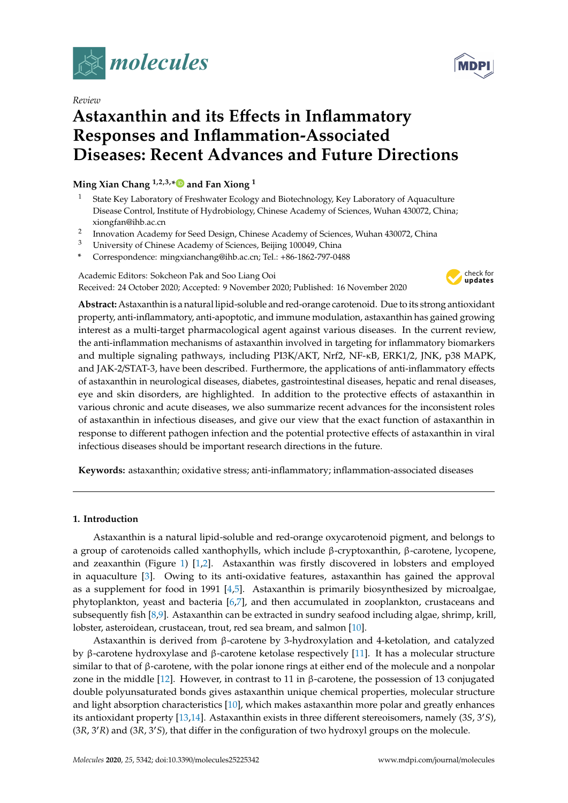

*Review*

# **Astaxanthin and its E**ff**ects in Inflammatory Responses and Inflammation-Associated Diseases: Recent Advances and Future Directions**

**Ming Xian Chang 1,2,3,[\\*](https://orcid.org/0000-0002-2352-4830) and Fan Xiong <sup>1</sup>**

- <sup>1</sup> State Key Laboratory of Freshwater Ecology and Biotechnology, Key Laboratory of Aquaculture Disease Control, Institute of Hydrobiology, Chinese Academy of Sciences, Wuhan 430072, China; xiongfan@ihb.ac.cn
- 2 Innovation Academy for Seed Design, Chinese Academy of Sciences, Wuhan 430072, China
- <sup>3</sup> University of Chinese Academy of Sciences, Beijing 100049, China
- **\*** Correspondence: mingxianchang@ihb.ac.cn; Tel.: +86-1862-797-0488

Academic Editors: Sokcheon Pak and Soo Liang Ooi Received: 24 October 2020; Accepted: 9 November 2020; Published: 16 November 2020



**Abstract:** Astaxanthin is a natural lipid-soluble and red-orange carotenoid. Due to its strong antioxidant property, anti-inflammatory, anti-apoptotic, and immune modulation, astaxanthin has gained growing interest as a multi-target pharmacological agent against various diseases. In the current review, the anti-inflammation mechanisms of astaxanthin involved in targeting for inflammatory biomarkers and multiple signaling pathways, including PI3K/AKT, Nrf2, NF-κB, ERK1/2, JNK, p38 MAPK, and JAK-2/STAT-3, have been described. Furthermore, the applications of anti-inflammatory effects of astaxanthin in neurological diseases, diabetes, gastrointestinal diseases, hepatic and renal diseases, eye and skin disorders, are highlighted. In addition to the protective effects of astaxanthin in various chronic and acute diseases, we also summarize recent advances for the inconsistent roles of astaxanthin in infectious diseases, and give our view that the exact function of astaxanthin in response to different pathogen infection and the potential protective effects of astaxanthin in viral infectious diseases should be important research directions in the future.

**Keywords:** astaxanthin; oxidative stress; anti-inflammatory; inflammation-associated diseases

# **1. Introduction**

Astaxanthin is a natural lipid-soluble and red-orange oxycarotenoid pigment, and belongs to a group of carotenoids called xanthophylls, which include β-cryptoxanthin, β-carotene, lycopene, and zeaxanthin (Figure [1\)](#page-1-0) [\[1](#page-8-0)[,2\]](#page-8-1). Astaxanthin was firstly discovered in lobsters and employed in aquaculture [\[3\]](#page-8-2). Owing to its anti-oxidative features, astaxanthin has gained the approval as a supplement for food in 1991 [\[4](#page-8-3)[,5\]](#page-8-4). Astaxanthin is primarily biosynthesized by microalgae, phytoplankton, yeast and bacteria [\[6,](#page-8-5)[7\]](#page-8-6), and then accumulated in zooplankton, crustaceans and subsequently fish [\[8](#page-8-7)[,9\]](#page-8-8). Astaxanthin can be extracted in sundry seafood including algae, shrimp, krill, lobster, asteroidean, crustacean, trout, red sea bream, and salmon [\[10\]](#page-8-9).

Astaxanthin is derived from β-carotene by 3-hydroxylation and 4-ketolation, and catalyzed by β-carotene hydroxylase and β-carotene ketolase respectively [\[11\]](#page-9-0). It has a molecular structure similar to that of β-carotene, with the polar ionone rings at either end of the molecule and a nonpolar zone in the middle [\[12\]](#page-9-1). However, in contrast to 11 in β-carotene, the possession of 13 conjugated double polyunsaturated bonds gives astaxanthin unique chemical properties, molecular structure and light absorption characteristics [\[10\]](#page-8-9), which makes astaxanthin more polar and greatly enhances its antioxidant property [\[13,](#page-9-2)[14\]](#page-9-3). Astaxanthin exists in three different stereoisomers, namely (3*S*, 3<sup>*c*</sup>S), (3*R*, 30*R*) and (3*R*, 30*S*), that differ in the configuration of two hydroxyl groups on the molecule.

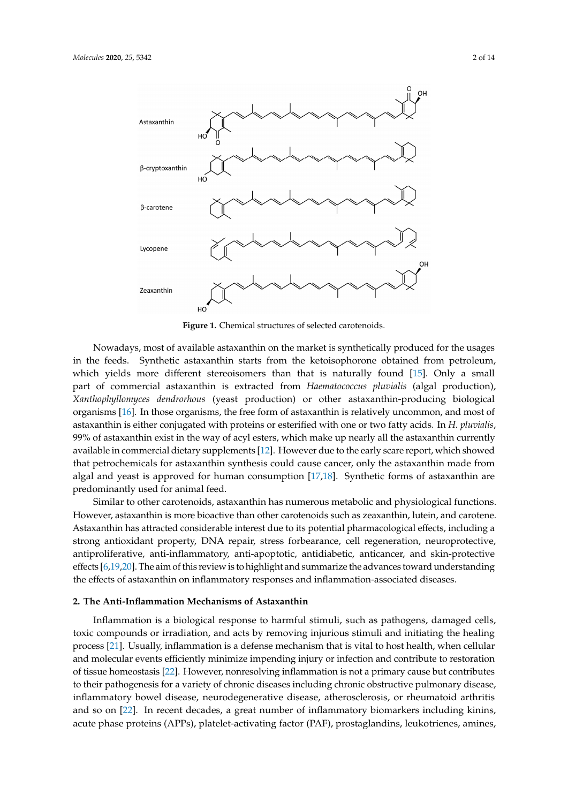<span id="page-1-0"></span>

**Figure 1.** Chemical structures of selected carotenoids. **Figure 1.** Chemical structures of selected carotenoids.

Nowadays, most of available astaxanthin on the market is synthetically produced for the usages in the feeds. Synthetic astaxanthin starts from the ketoisophorone obtained from petroleum, me feeds. Synthetic astaxantially starts from the heteosephorone obtained from petroleum, which yields more different stereoisomers than that is naturally found [\[15\]](#page-9-4). Only a small part of commercial astaxanthin is extracted from *Haematococcus pluvialis* (algal production), astaxanthin is extracted from *Haematococcus pluvialis* (algal production), *Xanthophyllomyces Xanthophyllomyces dendrorhous* (yeast production) or other astaxanthin-producing biological *dendrophyminyses deminitions* (yeast production) or other astaxanthin-producing biological organisms [\[16\]](#page-9-5). In those organisms, the free form of astaxanthin is relatively uncommon, and most of organisms, the free form of astaxanthin is relatively uncommon, and most of astaxanthin is either astaxanthin is either conjugated with proteins or esterified with one or two fatty acids. In *H. pluvialis*, conjugated with proteins or esterified with one or two fatty acids. In *H. pluvialis*, 99% of astaxanthin 99% of astaxanthin exist in the way of acyl esters, which make up nearly all the astaxanthin currently exist in the way of acyl esters, which make up nearly all the astaxanthin currently available in available in commercial dietary supplements [\[12\]](#page-9-1). However due to the early scare report, which showed that petrochemicals for astaxanthin synthesis could cause cancer, only the astaxanthin made from performance of as the microscopic condition  $\frac{1}{2}$  as the astacle cause cancer, only the astacle cause  $\frac{1}{2}$  and  $\frac{1}{2}$  and  $\frac{1}{2}$  and  $\frac{1}{2}$  and  $\frac{1}{2}$  and  $\frac{1}{2}$  and  $\frac{1}{2}$  and  $\frac{1}{2}$  and  $\frac$ algal and yeast is approved for human consumption [\[17,](#page-9-6)[18\]](#page-9-7). Synthetic forms of astaxanthin are and principle used for enjury lead. Nowadays, most of available astaxanthin on the market is synthetically produced for the usages predominantly used for animal feed.

predominantly used for animal feed. Similar to other carotenoids, astaxanthin has numerous metabolic and physiological functions. Similar to other carotenoids, astaxanthin has numerous metabolic and physiological functions. However, astaxanthin is more bioactive than other carotenoids such as zeaxanthin, lutein, and carotene. However, astaxanthin is more bioactive than other carotenoids such as zeaxanthin, lutein, and Astaxanthin has attracted considerable interest due to its potential pharmacological effects, including a carotene. Astaxanthin has attracted considerable interest due to its potential pharmacological effects, strong antioxidant property, DNA repair, stress forbearance, cell regeneration, neuroprotective, including a strong antioxidant property, DNA repair, stress forbearance, cell regeneration, antiproliferative, anti-inflammatory, anti-apoptotic, antidiabetic, anticancer, and skin-protective effects [\[6](#page-8-5)[,19,](#page-9-8)[20\]](#page-9-9). The aim of this review is to highlight and summarize the advances toward understanding skin-protective effects and summarized the aim of this review is to highlight and summarized the aim of this review is to highlight and summarize the advances of the advances of the advances of the advances of the advances the effects of astaxanthin on inflammatory responses and inflammation-associated diseases.

# 2. The Anti-Inflammation Mechanisms of Astaxanthin

Inflammation is a biological response to harmful stimuli, such as pathogens, damaged cells, process [\[21\]](#page-9-10). Usually, inflammation is a defense mechanism that is vital to host health, when cellular and molecular events efficiently minimize impending injury or infection and contribute to restoration of tissue homeostasis [\[22\]](#page-9-11). However, nonresolving inflammation is not a primary cause but contributes to their pathogenesis for a variety of chronic diseases including chronic obstructive pulmonary disease, inflammatory bowel disease, neurodegenerative disease, atherosclerosis, or rheumatoid arthritis and so on [\[22\]](#page-9-11). In recent decades, a great number of inflammatory biomarkers including kinins, toxic compounds or irradiation, and acts by removing injurious stimuli and initiating the healing acute phase proteins (APPs), platelet-activating factor (PAF), prostaglandins, leukotrienes, amines,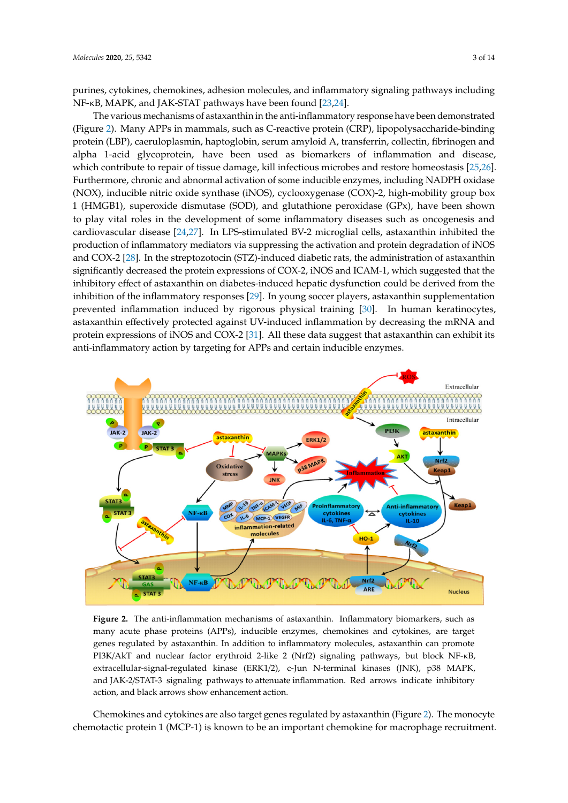purines, cytokines, chemokines, adhesion molecules, and inflammatory signaling pathways including NF-κB, MAPK, and JAK-STAT pathways have been found [23,24].

The various mechanisms of astaxanthin in the anti-inflammatory response have been demonstrated (Figure 2). Many APPs in mammals, such as C-reactive protein (CRP), lipopol[ys](#page-2-0)accharide-binding protein (LBP), caeruloplasmin, haptoglobin, serum amyloid A, transferrin, collectin, fibrinogen and alpha 1-acid glycoprotein, have been used as biomarkers of inflammation and disease, which contribute to repair of tissue damage, kill infectious microbes and restore homeostasis [\[25,](#page-9-14)[26\]](#page-9-15). Furthermore, chronic and abnormal activation of some inducible enzymes, including NADPH oxidase (NOX), inducible nitric oxide synthase (iNOS), cyclooxygenase (COX)-2, high-mobility group box 1 (HMGB1), superoxide dismutase (SOD), and glutathione peroxidase (GPx), have been shown to play vital roles in the development of some inflammatory diseases such as oncogenesis and cardiovascular disease [\[24](#page-9-13)[,27\]](#page-9-16). In LPS-stimulated BV-2 microglial cells, astaxanthin inhibited the production of inflammatory mediators via suppressing the activation and protein degradation of iNOS and COX-2 [\[28\]](#page-9-17). In the streptozotocin (STZ)-induced diabetic rats, the administration of astaxanthin significantly decreased the protein expressions of COX-2, iNOS and ICAM-1, which suggested that the inhibitory effect of astaxanthin on diabetes-induced hepatic dysfunction could be derived from the inhibition of the inflammatory responses [29]. In young soccer players, astaxanthin supplementation prevented inflammation induced by rigorous physical training [\[30\]](#page-9-19). In human keratinocytes, astaxanthin effectively protected against UV-induced inflammation by decreasing the mRNA and protein expressions of iNOS and COX-2 [\[31\]](#page-9-20). All these data suggest that astaxanthin can exhibit its anti-inflammatory action by targeting for APPs and certain inducible enzymes.

<span id="page-2-0"></span>

**Figure 2.** The anti-inflammation mechanisms of astaxanthin. Inflammatory biomarkers, such as many many acute phase proteins (APPs), inducible enzymes, chemokines and cytokines, are target many deale proteins (APPs), inducible enzymes, chemokines and cytokines, are target genes regulated by astaxanthin. In addition to inflammatory molecules, astaxanthin can promote regulated by astaxanthin. In addition to inflammatory molecules, astaxanthin can promote PI3K/AkT PI3K/AkT and nuclear factor erythroid 2-like 2 (Nrf2) signaling pathways, but block NF-κB, extracellular-signal-regulated kinase (ERK1/2), c-Jun N-terminal kinases (JNK), p38 MAPK, and JAK-2/STAT-3 signaling pathways to attenuate inflammation. Red arrows indicate inhibitory pathways to attenuate inflammation. Red arrows indicate in the arrows indicate in  $\mathbb{R}^n$ action, and black arrows show enhancement action. **Figure 2.** The anti-inflammation mechanisms of astaxanthin. Inflammatory biomarkers, such as

Chemokines and cytokines are also target genes regulated by astaxanthin (Figure [2\)](#page-2-0). The monocyte chemotactic protein 1 (MCP-1) is known to be an important chemokine for macrophage recruitment.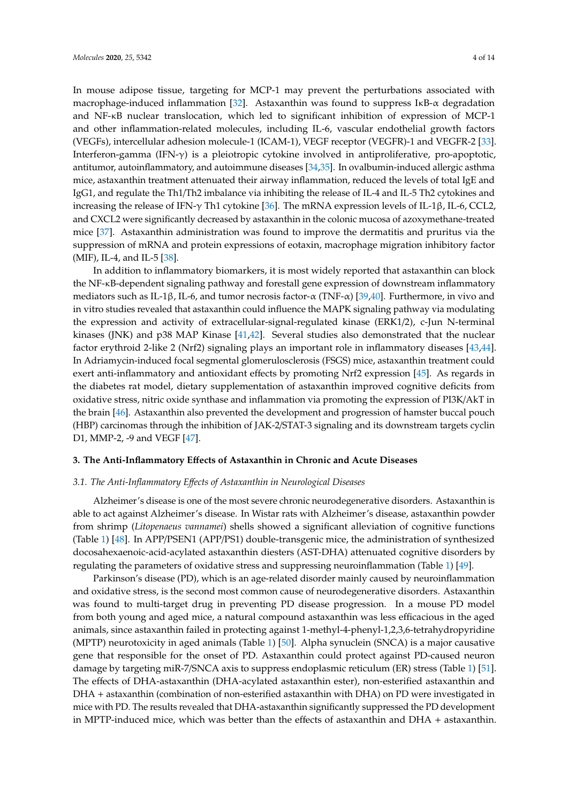In mouse adipose tissue, targeting for MCP-1 may prevent the perturbations associated with macrophage-induced inflammation [\[32\]](#page-9-21). Astaxanthin was found to suppress I $\kappa$ B- $\alpha$  degradation and NF-κB nuclear translocation, which led to significant inhibition of expression of MCP-1 and other inflammation-related molecules, including IL-6, vascular endothelial growth factors (VEGFs), intercellular adhesion molecule-1 (ICAM-1), VEGF receptor (VEGFR)-1 and VEGFR-2 [\[33\]](#page-9-22). Interferon-gamma (IFN-γ) is a pleiotropic cytokine involved in antiproliferative, pro-apoptotic, antitumor, autoinflammatory, and autoimmune diseases [\[34](#page-10-0)[,35\]](#page-10-1). In ovalbumin-induced allergic asthma mice, astaxanthin treatment attenuated their airway inflammation, reduced the levels of total IgE and IgG1, and regulate the Th1/Th2 imbalance via inhibiting the release of IL-4 and IL-5 Th2 cytokines and increasing the release of IFN-γ Th1 cytokine [\[36\]](#page-10-2). The mRNA expression levels of IL-1β, IL-6, CCL2, and CXCL2 were significantly decreased by astaxanthin in the colonic mucosa of azoxymethane-treated mice [\[37\]](#page-10-3). Astaxanthin administration was found to improve the dermatitis and pruritus via the suppression of mRNA and protein expressions of eotaxin, macrophage migration inhibitory factor (MIF), IL-4, and IL-5 [\[38\]](#page-10-4).

In addition to inflammatory biomarkers, it is most widely reported that astaxanthin can block the NF-κB-dependent signaling pathway and forestall gene expression of downstream inflammatory mediators such as IL-1β, IL-6, and tumor necrosis factor- $\alpha$  (TNF- $\alpha$ ) [\[39,](#page-10-5)[40\]](#page-10-6). Furthermore, in vivo and in vitro studies revealed that astaxanthin could influence the MAPK signaling pathway via modulating the expression and activity of extracellular-signal-regulated kinase (ERK1/2), c-Jun N-terminal kinases (JNK) and p38 MAP Kinase [\[41](#page-10-7)[,42\]](#page-10-8). Several studies also demonstrated that the nuclear factor erythroid 2-like 2 (Nrf2) signaling plays an important role in inflammatory diseases [\[43,](#page-10-9)[44\]](#page-10-10). In Adriamycin-induced focal segmental glomerulosclerosis (FSGS) mice, astaxanthin treatment could exert anti-inflammatory and antioxidant effects by promoting Nrf2 expression [\[45\]](#page-10-11). As regards in the diabetes rat model, dietary supplementation of astaxanthin improved cognitive deficits from oxidative stress, nitric oxide synthase and inflammation via promoting the expression of PI3K/AkT in the brain [\[46\]](#page-10-12). Astaxanthin also prevented the development and progression of hamster buccal pouch (HBP) carcinomas through the inhibition of JAK-2/STAT-3 signaling and its downstream targets cyclin D1, MMP-2, -9 and VEGF [\[47\]](#page-10-13).

## **3. The Anti-Inflammatory E**ff**ects of Astaxanthin in Chronic and Acute Diseases**

#### *3.1. The Anti-Inflammatory E*ff*ects of Astaxanthin in Neurological Diseases*

Alzheimer's disease is one of the most severe chronic neurodegenerative disorders. Astaxanthin is able to act against Alzheimer's disease. In Wistar rats with Alzheimer's disease, astaxanthin powder from shrimp (*Litopenaeus vannamei*) shells showed a significant alleviation of cognitive functions (Table [1\)](#page-5-0) [\[48\]](#page-10-14). In APP/PSEN1 (APP/PS1) double-transgenic mice, the administration of synthesized docosahexaenoic-acid-acylated astaxanthin diesters (AST-DHA) attenuated cognitive disorders by regulating the parameters of oxidative stress and suppressing neuroinflammation (Table [1\)](#page-5-0) [\[49\]](#page-10-15).

Parkinson's disease (PD), which is an age-related disorder mainly caused by neuroinflammation and oxidative stress, is the second most common cause of neurodegenerative disorders. Astaxanthin was found to multi-target drug in preventing PD disease progression. In a mouse PD model from both young and aged mice, a natural compound astaxanthin was less efficacious in the aged animals, since astaxanthin failed in protecting against 1-methyl-4-phenyl-1,2,3,6-tetrahydropyridine (MPTP) neurotoxicity in aged animals (Table [1\)](#page-5-0) [\[50\]](#page-10-16). Alpha synuclein (SNCA) is a major causative gene that responsible for the onset of PD. Astaxanthin could protect against PD-caused neuron damage by targeting miR-7/SNCA axis to suppress endoplasmic reticulum (ER) stress (Table [1\)](#page-5-0) [\[51\]](#page-10-17). The effects of DHA-astaxanthin (DHA-acylated astaxanthin ester), non-esterified astaxanthin and DHA + astaxanthin (combination of non-esterified astaxanthin with DHA) on PD were investigated in mice with PD. The results revealed that DHA-astaxanthin significantly suppressed the PD development in MPTP-induced mice, which was better than the effects of astaxanthin and DHA + astaxanthin.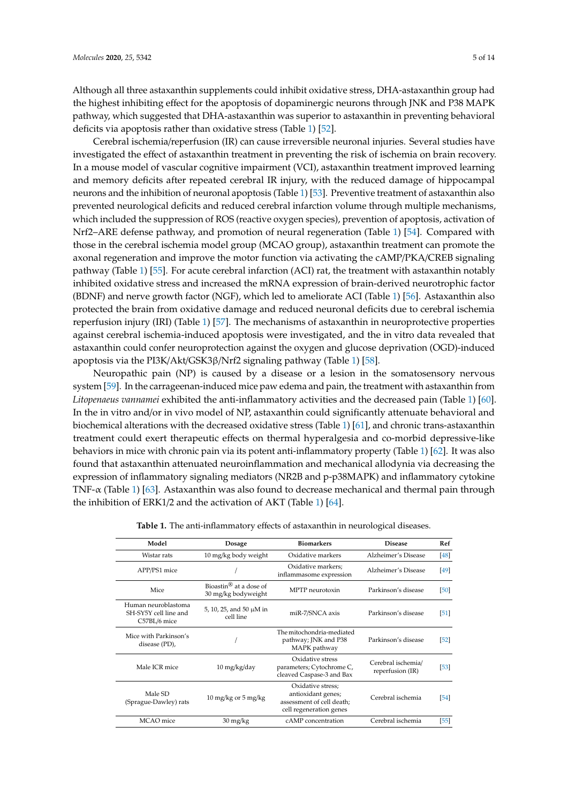Although all three astaxanthin supplements could inhibit oxidative stress, DHA-astaxanthin group had the highest inhibiting effect for the apoptosis of dopaminergic neurons through JNK and P38 MAPK pathway, which suggested that DHA-astaxanthin was superior to astaxanthin in preventing behavioral deficits via apoptosis rather than oxidative stress (Table [1\)](#page-5-0) [\[52\]](#page-10-18).

Cerebral ischemia/reperfusion (IR) can cause irreversible neuronal injuries. Several studies have investigated the effect of astaxanthin treatment in preventing the risk of ischemia on brain recovery. In a mouse model of vascular cognitive impairment (VCI), astaxanthin treatment improved learning and memory deficits after repeated cerebral IR injury, with the reduced damage of hippocampal neurons and the inhibition of neuronal apoptosis (Table [1\)](#page-5-0) [\[53\]](#page-11-0). Preventive treatment of astaxanthin also prevented neurological deficits and reduced cerebral infarction volume through multiple mechanisms, which included the suppression of ROS (reactive oxygen species), prevention of apoptosis, activation of Nrf2–ARE defense pathway, and promotion of neural regeneration (Table [1\)](#page-5-0) [\[54\]](#page-11-1). Compared with those in the cerebral ischemia model group (MCAO group), astaxanthin treatment can promote the axonal regeneration and improve the motor function via activating the cAMP/PKA/CREB signaling pathway (Table [1\)](#page-5-0) [\[55\]](#page-11-2). For acute cerebral infarction (ACI) rat, the treatment with astaxanthin notably inhibited oxidative stress and increased the mRNA expression of brain-derived neurotrophic factor (BDNF) and nerve growth factor (NGF), which led to ameliorate ACI (Table [1\)](#page-5-0) [\[56\]](#page-11-3). Astaxanthin also protected the brain from oxidative damage and reduced neuronal deficits due to cerebral ischemia reperfusion injury (IRI) (Table [1\)](#page-5-0) [\[57\]](#page-11-4). The mechanisms of astaxanthin in neuroprotective properties against cerebral ischemia-induced apoptosis were investigated, and the in vitro data revealed that astaxanthin could confer neuroprotection against the oxygen and glucose deprivation (OGD)-induced apoptosis via the PI3K/Akt/GSK3β/Nrf2 signaling pathway (Table [1\)](#page-5-0) [\[58\]](#page-11-5).

Neuropathic pain (NP) is caused by a disease or a lesion in the somatosensory nervous system [\[59\]](#page-11-6). In the carrageenan-induced mice paw edema and pain, the treatment with astaxanthin from *Litopenaeus vannamei* exhibited the anti-inflammatory activities and the decreased pain (Table [1\)](#page-5-0) [\[60\]](#page-11-7). In the in vitro and/or in vivo model of NP, astaxanthin could significantly attenuate behavioral and biochemical alterations with the decreased oxidative stress (Table [1\)](#page-5-0) [\[61\]](#page-11-8), and chronic trans-astaxanthin treatment could exert therapeutic effects on thermal hyperalgesia and co-morbid depressive-like behaviors in mice with chronic pain via its potent anti-inflammatory property (Table [1\)](#page-5-0) [\[62\]](#page-11-9). It was also found that astaxanthin attenuated neuroinflammation and mechanical allodynia via decreasing the expression of inflammatory signaling mediators (NR2B and p-p38MAPK) and inflammatory cytokine TNF- $\alpha$  (Table [1\)](#page-5-0) [\[63\]](#page-11-10). Astaxanthin was also found to decrease mechanical and thermal pain through the inhibition of ERK1/2 and the activation of AKT (Table [1\)](#page-5-0) [\[64\]](#page-11-11).

| Model                                                        | Dosage                                                    | <b>Biomarkers</b>                                                                               | <b>Disease</b>                         | Ref               |
|--------------------------------------------------------------|-----------------------------------------------------------|-------------------------------------------------------------------------------------------------|----------------------------------------|-------------------|
| Wistar rats                                                  | 10 mg/kg body weight                                      | Oxidative markers                                                                               | Alzheimer's Disease                    | [48]              |
| APP/PS1 mice                                                 |                                                           | Oxidative markers;<br>inflammasome expression                                                   | Alzheimer's Disease                    | $\left[49\right]$ |
| Mice                                                         | Bioastin <sup>®</sup> at a dose of<br>30 mg/kg bodyweight | MPTP neurotoxin                                                                                 | Parkinson's disease                    | [50]              |
| Human neuroblastoma<br>SH-SY5Y cell line and<br>C57BL/6 mice | 5, 10, 25, and 50 $\mu$ M in<br>cell line                 | miR-7/SNCA axis                                                                                 | Parkinson's disease                    | $\sqrt{51}$       |
| Mice with Parkinson's<br>disease (PD),                       |                                                           | The mitochondria-mediated<br>pathway; JNK and P38<br>MAPK pathway                               | Parkinson's disease                    | $\sqrt{52}$       |
| Male ICR mice                                                | $10 \frac{\text{mg}}{\text{kg}}$ day                      | Oxidative stress<br>parameters; Cytochrome C,<br>cleaved Caspase-3 and Bax                      | Cerebral ischemia/<br>reperfusion (IR) | $[53]$            |
| Male SD<br>(Sprague-Dawley) rats                             | 10 mg/kg or 5 mg/kg                                       | Oxidative stress;<br>antioxidant genes;<br>assessment of cell death;<br>cell regeneration genes | Cerebral ischemia                      | $\sqrt{54}$       |
| MCAO mice                                                    | $30 \frac{\text{mg}}{\text{kg}}$                          | cAMP concentration                                                                              | Cerebral ischemia                      | 55                |

|  | Table 1. The anti-inflammatory effects of astaxanthin in neurological diseases. |  |  |  |  |
|--|---------------------------------------------------------------------------------|--|--|--|--|
|--|---------------------------------------------------------------------------------|--|--|--|--|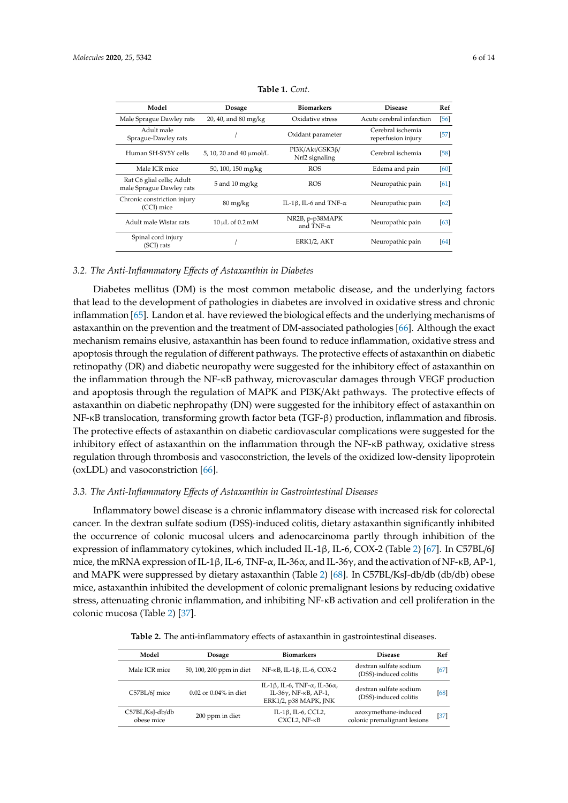<span id="page-5-0"></span>

| Model                                                 | Dosage                           | <b>Biomarkers</b>                     | <b>Disease</b>                          | Ref    |
|-------------------------------------------------------|----------------------------------|---------------------------------------|-----------------------------------------|--------|
| Male Sprague Dawley rats                              | 20, 40, and 80 mg/kg             | Oxidative stress                      | Acute cerebral infarction               | 56     |
| Adult male<br>Sprague-Dawley rats                     |                                  | Oxidant parameter                     | Cerebral ischemia<br>reperfusion injury | $[57]$ |
| Human SH-SY5Y cells                                   | 5, 10, 20 and 40 µmol/L          | PI3K/Akt/GSK3ß/<br>Nrf2 signaling     | Cerebral ischemia                       | [58]   |
| Male ICR mice                                         | 50, 100, 150 mg/kg               | <b>ROS</b>                            | Edema and pain                          | [60]   |
| Rat C6 glial cells; Adult<br>male Sprague Dawley rats | $5$ and $10$ mg/kg               | <b>ROS</b>                            | Neuropathic pain                        | 61     |
| Chronic constriction injury<br>(CCI) mice             | $80 \frac{\text{mg}}{\text{kg}}$ | IL-1 $\beta$ , IL-6 and TNF- $\alpha$ | Neuropathic pain                        | 62     |
| Adult male Wistar rats                                | $10 \mu L$ of $0.2 \text{ mM}$   | NR2B, p-p38MAPK<br>and TNF- $\alpha$  | Neuropathic pain                        | 631    |
| Spinal cord injury<br>(SCI) rats                      |                                  | ERK1/2, AKT                           | Neuropathic pain                        | 64     |

**Table 1.** *Cont.*

# *3.2. The Anti-Inflammatory E*ff*ects of Astaxanthin in Diabetes*

Diabetes mellitus (DM) is the most common metabolic disease, and the underlying factors that lead to the development of pathologies in diabetes are involved in oxidative stress and chronic inflammation [\[65\]](#page-11-12). Landon et al. have reviewed the biological effects and the underlying mechanisms of astaxanthin on the prevention and the treatment of DM-associated pathologies [\[66\]](#page-11-13). Although the exact mechanism remains elusive, astaxanthin has been found to reduce inflammation, oxidative stress and apoptosis through the regulation of different pathways. The protective effects of astaxanthin on diabetic retinopathy (DR) and diabetic neuropathy were suggested for the inhibitory effect of astaxanthin on the inflammation through the NF-κB pathway, microvascular damages through VEGF production and apoptosis through the regulation of MAPK and PI3K/Akt pathways. The protective effects of astaxanthin on diabetic nephropathy (DN) were suggested for the inhibitory effect of astaxanthin on NF-κB translocation, transforming growth factor beta (TGF-β) production, inflammation and fibrosis. The protective effects of astaxanthin on diabetic cardiovascular complications were suggested for the inhibitory effect of astaxanthin on the inflammation through the NF-κB pathway, oxidative stress regulation through thrombosis and vasoconstriction, the levels of the oxidized low-density lipoprotein (oxLDL) and vasoconstriction [\[66\]](#page-11-13).

#### *3.3. The Anti-Inflammatory E*ff*ects of Astaxanthin in Gastrointestinal Diseases*

Inflammatory bowel disease is a chronic inflammatory disease with increased risk for colorectal cancer. In the dextran sulfate sodium (DSS)-induced colitis, dietary astaxanthin significantly inhibited the occurrence of colonic mucosal ulcers and adenocarcinoma partly through inhibition of the expression of inflammatory cytokines, which included IL-1β, IL-6, COX-2 (Table [2\)](#page-5-1) [\[67\]](#page-11-14). In C57BL/6J mice, the mRNA expression of IL-1β, IL-6, TNF- $\alpha$ , IL-36 $\alpha$ , and IL-36 $\gamma$ , and the activation of NF- $\kappa$ B, AP-1, and MAPK were suppressed by dietary astaxanthin (Table [2\)](#page-5-1) [\[68\]](#page-11-15). In C57BL/KsJ-db/db (db/db) obese mice, astaxanthin inhibited the development of colonic premalignant lesions by reducing oxidative stress, attenuating chronic inflammation, and inhibiting NF-κB activation and cell proliferation in the colonic mucosa (Table [2\)](#page-5-1) [\[37\]](#page-10-3).

<span id="page-5-1"></span>

| Model                         | Dosage                     | <b>Biomarkers</b>                                                                                                        | <b>Disease</b>                                       | Ref    |
|-------------------------------|----------------------------|--------------------------------------------------------------------------------------------------------------------------|------------------------------------------------------|--------|
| Male ICR mice                 | 50, 100, 200 ppm in diet   | NF-κB, IL-1β, IL-6, COX-2                                                                                                | dextran sulfate sodium<br>(DSS)-induced colitis      | $[67]$ |
| C57BL/6J mice                 | $0.02$ or $0.04\%$ in diet | IL-1 $\beta$ , IL-6, TNF- $\alpha$ , IL-36 $\alpha$ ,<br>IL-36 $\gamma$ , NF- $\kappa$ B, AP-1,<br>ERK1/2, p38 MAPK, JNK | dextran sulfate sodium<br>(DSS)-induced colitis      | [68]   |
| C57BL/KsJ-db/db<br>obese mice | 200 ppm in diet            | IL-1 $\beta$ , IL-6, CCL2,<br>CXCL2, NF-KB                                                                               | azoxymethane-induced<br>colonic premalignant lesions | $[37]$ |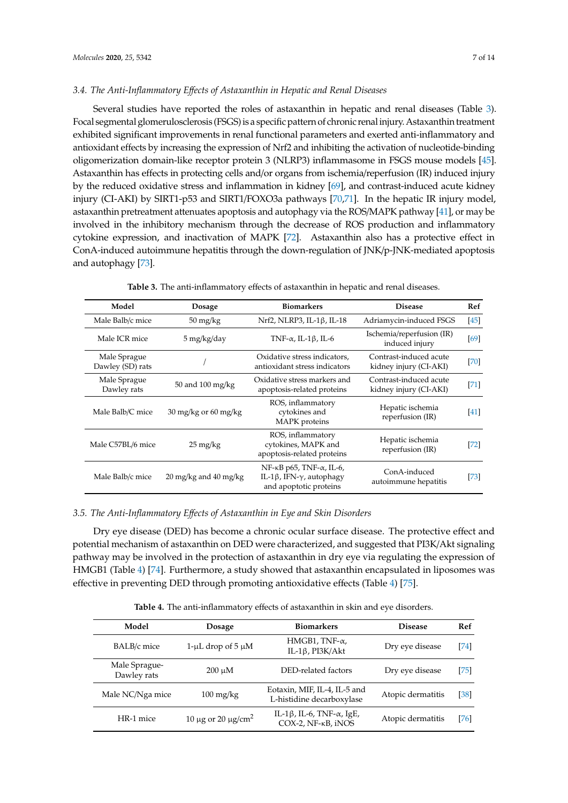## *3.4. The Anti-Inflammatory E*ff*ects of Astaxanthin in Hepatic and Renal Diseases*

Several studies have reported the roles of astaxanthin in hepatic and renal diseases (Table [3\)](#page-6-0). Focal segmental glomerulosclerosis (FSGS) is a specific pattern of chronic renal injury. Astaxanthin treatment exhibited significant improvements in renal functional parameters and exerted anti-inflammatory and antioxidant effects by increasing the expression of Nrf2 and inhibiting the activation of nucleotide-binding oligomerization domain-like receptor protein 3 (NLRP3) inflammasome in FSGS mouse models [\[45\]](#page-10-11). Astaxanthin has effects in protecting cells and/or organs from ischemia/reperfusion (IR) induced injury by the reduced oxidative stress and inflammation in kidney [\[69\]](#page-11-16), and contrast-induced acute kidney injury (CI-AKI) by SIRT1-p53 and SIRT1/FOXO3a pathways [\[70,](#page-11-17)[71\]](#page-11-18). In the hepatic IR injury model, astaxanthin pretreatment attenuates apoptosis and autophagy via the ROS/MAPK pathway [\[41\]](#page-10-7), or may be involved in the inhibitory mechanism through the decrease of ROS production and inflammatory cytokine expression, and inactivation of MAPK [\[72\]](#page-12-0). Astaxanthin also has a protective effect in ConA-induced autoimmune hepatitis through the down-regulation of JNK/p-JNK-mediated apoptosis and autophagy [\[73\]](#page-12-1).

<span id="page-6-0"></span>

| Model                            | Dosage                                          | <b>Biomarkers</b>                                                                                                  | <b>Disease</b>                                   | Ref  |
|----------------------------------|-------------------------------------------------|--------------------------------------------------------------------------------------------------------------------|--------------------------------------------------|------|
| Male Balb/c mice                 | $50 \frac{\text{mg}}{\text{kg}}$                | Nrf2, NLRP3, IL-1ß, IL-18                                                                                          | Adriamycin-induced FSGS                          | [45] |
| Male ICR mice                    | $5 \,\mathrm{mg/kg}/\mathrm{day}$               | TNF- $\alpha$ , IL-1 $\beta$ , IL-6                                                                                | Ischemia/reperfusion (IR)<br>induced injury      | [69] |
| Male Sprague<br>Dawley (SD) rats |                                                 | Oxidative stress indicators,<br>antioxidant stress indicators                                                      | Contrast-induced acute<br>kidney injury (CI-AKI) | [70] |
| Male Sprague<br>Dawley rats      | 50 and $100 \text{ mg/kg}$                      | Oxidative stress markers and<br>apoptosis-related proteins                                                         | Contrast-induced acute<br>kidney injury (CI-AKI) | [71] |
| Male Balb/C mice                 | $30 \text{ mg/kg}$ or 60 mg/kg                  | ROS, inflammatory<br>cytokines and<br>MAPK proteins                                                                | Hepatic ischemia<br>reperfusion (IR)             | [41] |
| Male C57BL/6 mice                | $25 \frac{\text{mg}}{\text{kg}}$                | ROS, inflammatory<br>cytokines, MAPK and<br>apoptosis-related proteins                                             | Hepatic ischemia<br>reperfusion (IR)             | [72] |
| Male Balb/c mice                 | $20 \,\mathrm{mg/kg}$ and $40 \,\mathrm{mg/kg}$ | $NF$ - $\kappa$ B p65, TNF- $\alpha$ , IL-6,<br>IL-1 $\beta$ , IFN- $\gamma$ , autophagy<br>and apoptotic proteins | ConA-induced<br>autoimmune hepatitis             | [73] |

**Table 3.** The anti-inflammatory effects of astaxanthin in hepatic and renal diseases.

## *3.5. The Anti-Inflammatory E*ff*ects of Astaxanthin in Eye and Skin Disorders*

Dry eye disease (DED) has become a chronic ocular surface disease. The protective effect and potential mechanism of astaxanthin on DED were characterized, and suggested that PI3K/Akt signaling pathway may be involved in the protection of astaxanthin in dry eye via regulating the expression of HMGB1 (Table [4\)](#page-6-1) [\[74\]](#page-12-2). Furthermore, a study showed that astaxanthin encapsulated in liposomes was effective in preventing DED through promoting antioxidative effects (Table [4\)](#page-6-1) [\[75\]](#page-12-3).

| <b>Table 4.</b> The anti-inflammatory effects of astaxanthin in skin and eye disorders. |  |
|-----------------------------------------------------------------------------------------|--|
|-----------------------------------------------------------------------------------------|--|

<span id="page-6-1"></span>

| Model                        | <b>Dosage</b>                     | <b>Biomarkers</b>                                               | <b>Disease</b>    | Ref  |
|------------------------------|-----------------------------------|-----------------------------------------------------------------|-------------------|------|
| BALB/c mice                  | 1-µL drop of $5 \mu M$            | HMGB1, TNF- $\alpha$ ,<br>IL-1 $\beta$ , PI3K/Akt               | Dry eye disease   | [74] |
| Male Sprague-<br>Dawley rats | $200 \mu M$                       | DED-related factors                                             | Dry eye disease   | [75] |
| Male NC/Nga mice             | $100 \frac{\text{mg}}{\text{kg}}$ | Eotaxin, MIF, IL-4, IL-5 and<br>L-histidine decarboxylase       | Atopic dermatitis | [38] |
| HR-1 mice                    | 10 μg or 20 μg/cm <sup>2</sup>    | IL-1 $\beta$ , IL-6, TNF- $\alpha$ , IgE,<br>COX-2, NF-KB, iNOS | Atopic dermatitis | [76] |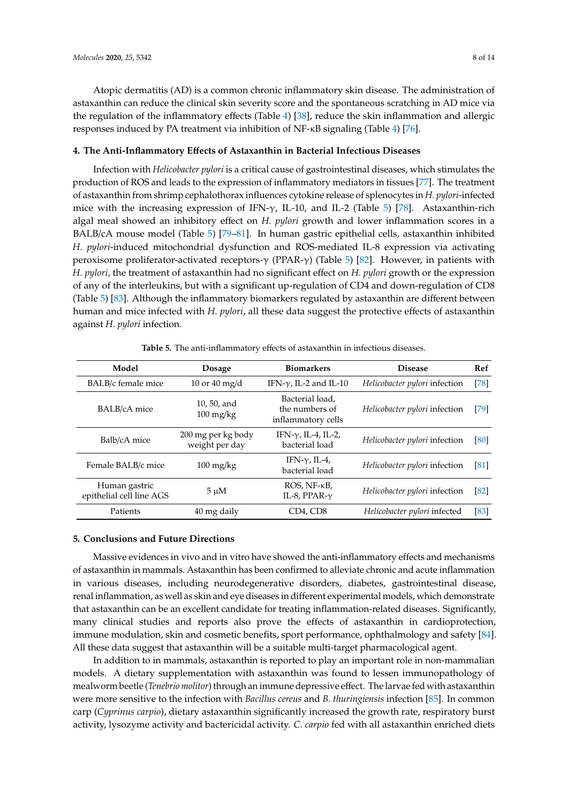Atopic dermatitis (AD) is a common chronic inflammatory skin disease. The administration of astaxanthin can reduce the clinical skin severity score and the spontaneous scratching in AD mice via the regulation of the inflammatory effects (Table [4\)](#page-6-1) [\[38\]](#page-10-4), reduce the skin inflammation and allergic responses induced by PA treatment via inhibition of NF-κB signaling (Table [4\)](#page-6-1) [\[76\]](#page-12-4).

# **4. The Anti-Inflammatory E**ff**ects of Astaxanthin in Bacterial Infectious Diseases**

Infection with *Helicobacter pylori* is a critical cause of gastrointestinal diseases, which stimulates the production of ROS and leads to the expression of inflammatory mediators in tissues [\[77\]](#page-12-5). The treatment of astaxanthin from shrimp cephalothorax influences cytokine release of splenocytes in *H. pylori*-infected mice with the increasing expression of IFN- $\gamma$ , IL-10, and IL-2 (Table [5\)](#page-7-0) [\[78\]](#page-12-6). Astaxanthin-rich algal meal showed an inhibitory effect on *H. pylori* growth and lower inflammation scores in a BALB/cA mouse model (Table [5\)](#page-7-0) [\[79–](#page-12-7)[81\]](#page-12-8). In human gastric epithelial cells, astaxanthin inhibited *H. pylori*-induced mitochondrial dysfunction and ROS-mediated IL-8 expression via activating peroxisome proliferator-activated receptors-γ (PPAR-γ) (Table [5\)](#page-7-0) [\[82\]](#page-12-9). However, in patients with *H. pylori*, the treatment of astaxanthin had no significant effect on *H. pylori* growth or the expression of any of the interleukins, but with a significant up-regulation of CD4 and down-regulation of CD8 (Table [5\)](#page-7-0) [\[83\]](#page-12-10). Although the inflammatory biomarkers regulated by astaxanthin are different between human and mice infected with *H. pylori*, all these data suggest the protective effects of astaxanthin against *H. pylori* infection.

<span id="page-7-0"></span>

| Model                                     | <b>Dosage</b>                                    | <b>Biomarkers</b>                                       | <b>Disease</b>                | Ref  |
|-------------------------------------------|--------------------------------------------------|---------------------------------------------------------|-------------------------------|------|
| BALB/c female mice                        | 10 or 40 mg/d                                    | IFN- $\gamma$ , IL-2 and IL-10                          | Helicobacter pylori infection | [78] |
| <b>BALB/cA</b> mice                       | 10, 50, and<br>$100 \frac{\text{mg}}{\text{kg}}$ | Bacterial load,<br>the numbers of<br>inflammatory cells | Helicobacter pylori infection | [79] |
| Balb/cA mice                              | 200 mg per kg body<br>weight per day             | IFN- $\gamma$ , IL-4, IL-2,<br>bacterial load           | Helicobacter pylori infection | [80] |
| Female BALB/c mice                        | $100 \frac{\text{mg}}{\text{kg}}$                | IFN- $\gamma$ , IL-4,<br>bacterial load                 | Helicobacter pylori infection | [81] |
| Human gastric<br>epithelial cell line AGS | $5 \mu M$                                        | $ROS, NF-κB,$<br>IL-8, PPAR- $\gamma$                   | Helicobacter pylori infection | [82] |
| Patients                                  | 40 mg daily                                      | CD4, CD8                                                | Helicobacter pylori infected  | [83] |

**Table 5.** The anti-inflammatory effects of astaxanthin in infectious diseases.

# **5. Conclusions and Future Directions**

Massive evidences in vivo and in vitro have showed the anti-inflammatory effects and mechanisms of astaxanthin in mammals. Astaxanthin has been confirmed to alleviate chronic and acute inflammation in various diseases, including neurodegenerative disorders, diabetes, gastrointestinal disease, renal inflammation, as well as skin and eye diseases in different experimental models, which demonstrate that astaxanthin can be an excellent candidate for treating inflammation-related diseases. Significantly, many clinical studies and reports also prove the effects of astaxanthin in cardioprotection, immune modulation, skin and cosmetic benefits, sport performance, ophthalmology and safety [\[84\]](#page-12-12). All these data suggest that astaxanthin will be a suitable multi-target pharmacological agent.

In addition to in mammals, astaxanthin is reported to play an important role in non-mammalian models. A dietary supplementation with astaxanthin was found to lessen immunopathology of mealworm beetle (*Tenebrio molitor*) through an immune depressive effect. The larvae fed with astaxanthin were more sensitive to the infection with *Bacillus cereus* and *B. thuringiensis* infection [\[85\]](#page-12-13). In common carp (*Cyprinus carpio*), dietary astaxanthin significantly increased the growth rate, respiratory burst activity, lysozyme activity and bactericidal activity. *C. carpio* fed with all astaxanthin enriched diets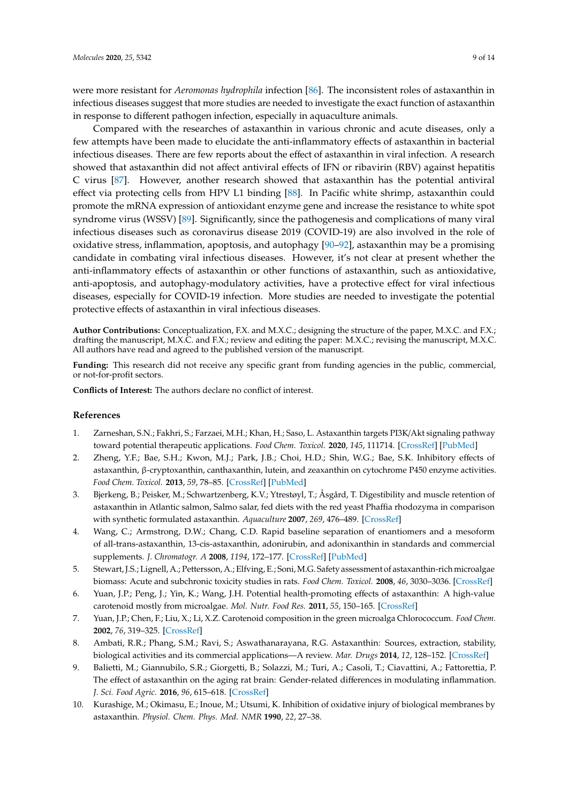were more resistant for *Aeromonas hydrophila* infection [\[86\]](#page-12-14). The inconsistent roles of astaxanthin in infectious diseases suggest that more studies are needed to investigate the exact function of astaxanthin in response to different pathogen infection, especially in aquaculture animals.

Compared with the researches of astaxanthin in various chronic and acute diseases, only a few attempts have been made to elucidate the anti-inflammatory effects of astaxanthin in bacterial infectious diseases. There are few reports about the effect of astaxanthin in viral infection. A research showed that astaxanthin did not affect antiviral effects of IFN or ribavirin (RBV) against hepatitis C virus [\[87\]](#page-12-15). However, another research showed that astaxanthin has the potential antiviral effect via protecting cells from HPV L1 binding [\[88\]](#page-12-16). In Pacific white shrimp, astaxanthin could promote the mRNA expression of antioxidant enzyme gene and increase the resistance to white spot syndrome virus (WSSV) [\[89\]](#page-12-17). Significantly, since the pathogenesis and complications of many viral infectious diseases such as coronavirus disease 2019 (COVID-19) are also involved in the role of oxidative stress, inflammation, apoptosis, and autophagy [\[90–](#page-12-18)[92\]](#page-13-0), astaxanthin may be a promising candidate in combating viral infectious diseases. However, it's not clear at present whether the anti-inflammatory effects of astaxanthin or other functions of astaxanthin, such as antioxidative, anti-apoptosis, and autophagy-modulatory activities, have a protective effect for viral infectious diseases, especially for COVID-19 infection. More studies are needed to investigate the potential protective effects of astaxanthin in viral infectious diseases.

**Author Contributions:** Conceptualization, F.X. and M.X.C.; designing the structure of the paper, M.X.C. and F.X.; drafting the manuscript, M.X.C. and F.X.; review and editing the paper: M.X.C.; revising the manuscript, M.X.C. All authors have read and agreed to the published version of the manuscript.

**Funding:** This research did not receive any specific grant from funding agencies in the public, commercial, or not-for-profit sectors.

**Conflicts of Interest:** The authors declare no conflict of interest.

#### **References**

- <span id="page-8-0"></span>1. Zarneshan, S.N.; Fakhri, S.; Farzaei, M.H.; Khan, H.; Saso, L. Astaxanthin targets PI3K/Akt signaling pathway toward potential therapeutic applications. *Food Chem. Toxicol.* **2020**, *145*, 111714. [\[CrossRef\]](http://dx.doi.org/10.1016/j.fct.2020.111714) [\[PubMed\]](http://www.ncbi.nlm.nih.gov/pubmed/32871194)
- <span id="page-8-1"></span>2. Zheng, Y.F.; Bae, S.H.; Kwon, M.J.; Park, J.B.; Choi, H.D.; Shin, W.G.; Bae, S.K. Inhibitory effects of astaxanthin, β-cryptoxanthin, canthaxanthin, lutein, and zeaxanthin on cytochrome P450 enzyme activities. *Food Chem. Toxicol.* **2013**, *59*, 78–85. [\[CrossRef\]](http://dx.doi.org/10.1016/j.fct.2013.04.053) [\[PubMed\]](http://www.ncbi.nlm.nih.gov/pubmed/23669408)
- <span id="page-8-2"></span>3. Bjerkeng, B.; Peisker, M.; Schwartzenberg, K.V.; Ytrestøyl, T.; Åsgård, T. Digestibility and muscle retention of astaxanthin in Atlantic salmon, Salmo salar, fed diets with the red yeast Phaffia rhodozyma in comparison with synthetic formulated astaxanthin. *Aquaculture* **2007**, *269*, 476–489. [\[CrossRef\]](http://dx.doi.org/10.1016/j.aquaculture.2007.04.070)
- <span id="page-8-3"></span>4. Wang, C.; Armstrong, D.W.; Chang, C.D. Rapid baseline separation of enantiomers and a mesoform of all-trans-astaxanthin, 13-cis-astaxanthin, adonirubin, and adonixanthin in standards and commercial supplements. *J. Chromatogr. A* **2008**, *1194*, 172–177. [\[CrossRef\]](http://dx.doi.org/10.1016/j.chroma.2008.04.063) [\[PubMed\]](http://www.ncbi.nlm.nih.gov/pubmed/18486137)
- <span id="page-8-4"></span>5. Stewart, J.S.; Lignell, A.; Pettersson, A.; Elfving, E.; Soni,M.G. Safety assessment of astaxanthin-rich microalgae biomass: Acute and subchronic toxicity studies in rats. *Food Chem. Toxicol.* **2008**, *46*, 3030–3036. [\[CrossRef\]](http://dx.doi.org/10.1016/j.fct.2008.05.038)
- <span id="page-8-5"></span>6. Yuan, J.P.; Peng, J.; Yin, K.; Wang, J.H. Potential health-promoting effects of astaxanthin: A high-value carotenoid mostly from microalgae. *Mol. Nutr. Food Res.* **2011**, *55*, 150–165. [\[CrossRef\]](http://dx.doi.org/10.1002/mnfr.201000414)
- <span id="page-8-6"></span>7. Yuan, J.P.; Chen, F.; Liu, X.; Li, X.Z. Carotenoid composition in the green microalga Chlorococcum. *Food Chem.* **2002**, *76*, 319–325. [\[CrossRef\]](http://dx.doi.org/10.1016/S0308-8146(01)00279-5)
- <span id="page-8-7"></span>8. Ambati, R.R.; Phang, S.M.; Ravi, S.; Aswathanarayana, R.G. Astaxanthin: Sources, extraction, stability, biological activities and its commercial applications—A review. *Mar. Drugs* **2014**, *12*, 128–152. [\[CrossRef\]](http://dx.doi.org/10.3390/md12010128)
- <span id="page-8-8"></span>9. Balietti, M.; Giannubilo, S.R.; Giorgetti, B.; Solazzi, M.; Turi, A.; Casoli, T.; Ciavattini, A.; Fattorettia, P. The effect of astaxanthin on the aging rat brain: Gender-related differences in modulating inflammation. *J. Sci. Food Agric.* **2016**, *96*, 615–618. [\[CrossRef\]](http://dx.doi.org/10.1002/jsfa.7131)
- <span id="page-8-9"></span>10. Kurashige, M.; Okimasu, E.; Inoue, M.; Utsumi, K. Inhibition of oxidative injury of biological membranes by astaxanthin. *Physiol. Chem. Phys. Med. NMR* **1990**, *22*, 27–38.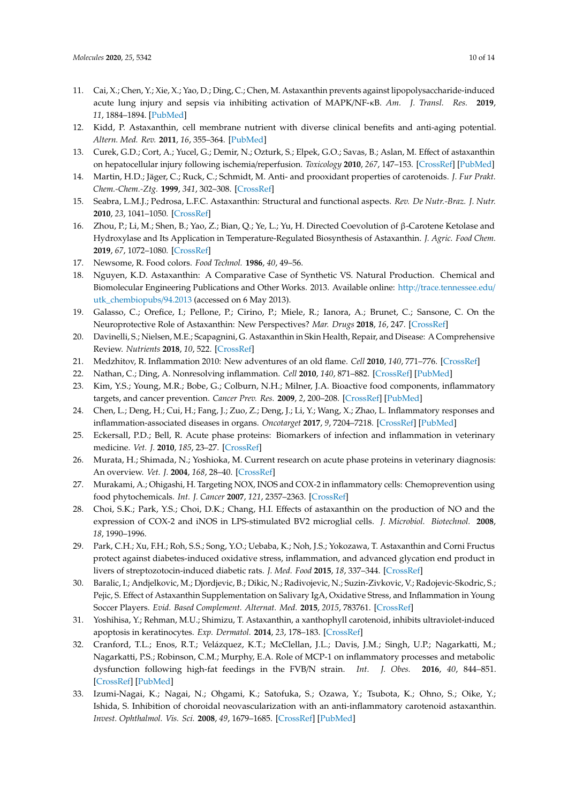- <span id="page-9-0"></span>11. Cai, X.; Chen, Y.; Xie, X.; Yao, D.; Ding, C.; Chen, M. Astaxanthin prevents against lipopolysaccharide-induced acute lung injury and sepsis via inhibiting activation of MAPK/NF-κB. *Am. J. Transl. Res.* **2019**, *11*, 1884–1894. [\[PubMed\]](http://www.ncbi.nlm.nih.gov/pubmed/30972212)
- <span id="page-9-1"></span>12. Kidd, P. Astaxanthin, cell membrane nutrient with diverse clinical benefits and anti-aging potential. *Altern. Med. Rev.* **2011**, *16*, 355–364. [\[PubMed\]](http://www.ncbi.nlm.nih.gov/pubmed/22214255)
- <span id="page-9-2"></span>13. Curek, G.D.; Cort, A.; Yucel, G.; Demir, N.; Ozturk, S.; Elpek, G.O.; Savas, B.; Aslan, M. Effect of astaxanthin on hepatocellular injury following ischemia/reperfusion. *Toxicology* **2010**, *267*, 147–153. [\[CrossRef\]](http://dx.doi.org/10.1016/j.tox.2009.11.003) [\[PubMed\]](http://www.ncbi.nlm.nih.gov/pubmed/19900500)
- <span id="page-9-3"></span>14. Martin, H.D.; Jäger, C.; Ruck, C.; Schmidt, M. Anti- and prooxidant properties of carotenoids. *J. Fur Prakt. Chem.-Chem.-Ztg.* **1999**, *341*, 302–308. [\[CrossRef\]](http://dx.doi.org/10.1002/(SICI)1521-3897(199904)341:3<302::AID-PRAC302>3.0.CO;2-6)
- <span id="page-9-4"></span>15. Seabra, L.M.J.; Pedrosa, L.F.C. Astaxanthin: Structural and functional aspects. *Rev. De Nutr.-Braz. J. Nutr.* **2010**, *23*, 1041–1050. [\[CrossRef\]](http://dx.doi.org/10.1590/S1415-52732010000600010)
- <span id="page-9-5"></span>16. Zhou, P.; Li, M.; Shen, B.; Yao, Z.; Bian, Q.; Ye, L.; Yu, H. Directed Coevolution of β-Carotene Ketolase and Hydroxylase and Its Application in Temperature-Regulated Biosynthesis of Astaxanthin. *J. Agric. Food Chem.* **2019**, *67*, 1072–1080. [\[CrossRef\]](http://dx.doi.org/10.1021/acs.jafc.8b05003)
- <span id="page-9-6"></span>17. Newsome, R. Food colors. *Food Technol.* **1986**, *40*, 49–56.
- <span id="page-9-7"></span>18. Nguyen, K.D. Astaxanthin: A Comparative Case of Synthetic VS. Natural Production. Chemical and Biomolecular Engineering Publications and Other Works. 2013. Available online: http://[trace.tennessee.edu](http://trace.tennessee.edu/utk_chembiopubs/94.2013)/ [utk\\_chembiopubs](http://trace.tennessee.edu/utk_chembiopubs/94.2013)/94.2013 (accessed on 6 May 2013).
- <span id="page-9-8"></span>19. Galasso, C.; Orefice, I.; Pellone, P.; Cirino, P.; Miele, R.; Ianora, A.; Brunet, C.; Sansone, C. On the Neuroprotective Role of Astaxanthin: New Perspectives? *Mar. Drugs* **2018**, *16*, 247. [\[CrossRef\]](http://dx.doi.org/10.3390/md16080247)
- <span id="page-9-9"></span>20. Davinelli, S.; Nielsen, M.E.; Scapagnini, G. Astaxanthin in Skin Health, Repair, and Disease: A Comprehensive Review. *Nutrients* **2018**, *10*, 522. [\[CrossRef\]](http://dx.doi.org/10.3390/nu10040522)
- <span id="page-9-10"></span>21. Medzhitov, R. Inflammation 2010: New adventures of an old flame. *Cell* **2010**, *140*, 771–776. [\[CrossRef\]](http://dx.doi.org/10.1016/j.cell.2010.03.006)
- <span id="page-9-11"></span>22. Nathan, C.; Ding, A. Nonresolving inflammation. *Cell* **2010**, *140*, 871–882. [\[CrossRef\]](http://dx.doi.org/10.1016/j.cell.2010.02.029) [\[PubMed\]](http://www.ncbi.nlm.nih.gov/pubmed/20303877)
- <span id="page-9-12"></span>23. Kim, Y.S.; Young, M.R.; Bobe, G.; Colburn, N.H.; Milner, J.A. Bioactive food components, inflammatory targets, and cancer prevention. *Cancer Prev. Res.* **2009**, *2*, 200–208. [\[CrossRef\]](http://dx.doi.org/10.1158/1940-6207.CAPR-08-0141) [\[PubMed\]](http://www.ncbi.nlm.nih.gov/pubmed/19258539)
- <span id="page-9-13"></span>24. Chen, L.; Deng, H.; Cui, H.; Fang, J.; Zuo, Z.; Deng, J.; Li, Y.; Wang, X.; Zhao, L. Inflammatory responses and inflammation-associated diseases in organs. *Oncotarget* **2017**, *9*, 7204–7218. [\[CrossRef\]](http://dx.doi.org/10.18632/oncotarget.23208) [\[PubMed\]](http://www.ncbi.nlm.nih.gov/pubmed/29467962)
- <span id="page-9-14"></span>25. Eckersall, P.D.; Bell, R. Acute phase proteins: Biomarkers of infection and inflammation in veterinary medicine. *Vet. J.* **2010**, *185*, 23–27. [\[CrossRef\]](http://dx.doi.org/10.1016/j.tvjl.2010.04.009)
- <span id="page-9-15"></span>26. Murata, H.; Shimada, N.; Yoshioka, M. Current research on acute phase proteins in veterinary diagnosis: An overview. *Vet. J.* **2004**, *168*, 28–40. [\[CrossRef\]](http://dx.doi.org/10.1016/S1090-0233(03)00119-9)
- <span id="page-9-16"></span>27. Murakami, A.; Ohigashi, H. Targeting NOX, INOS and COX-2 in inflammatory cells: Chemoprevention using food phytochemicals. *Int. J. Cancer* **2007**, *121*, 2357–2363. [\[CrossRef\]](http://dx.doi.org/10.1002/ijc.23161)
- <span id="page-9-17"></span>28. Choi, S.K.; Park, Y.S.; Choi, D.K.; Chang, H.I. Effects of astaxanthin on the production of NO and the expression of COX-2 and iNOS in LPS-stimulated BV2 microglial cells. *J. Microbiol. Biotechnol.* **2008**, *18*, 1990–1996.
- <span id="page-9-18"></span>29. Park, C.H.; Xu, F.H.; Roh, S.S.; Song, Y.O.; Uebaba, K.; Noh, J.S.; Yokozawa, T. Astaxanthin and Corni Fructus protect against diabetes-induced oxidative stress, inflammation, and advanced glycation end product in livers of streptozotocin-induced diabetic rats. *J. Med. Food* **2015**, *18*, 337–344. [\[CrossRef\]](http://dx.doi.org/10.1089/jmf.2014.3174)
- <span id="page-9-19"></span>30. Baralic, I.; Andjelkovic, M.; Djordjevic, B.; Dikic, N.; Radivojevic, N.; Suzin-Zivkovic, V.; Radojevic-Skodric, S.; Pejic, S. Effect of Astaxanthin Supplementation on Salivary IgA, Oxidative Stress, and Inflammation in Young Soccer Players. *Evid. Based Complement. Alternat. Med.* **2015**, *2015*, 783761. [\[CrossRef\]](http://dx.doi.org/10.1155/2015/783761)
- <span id="page-9-20"></span>31. Yoshihisa, Y.; Rehman, M.U.; Shimizu, T. Astaxanthin, a xanthophyll carotenoid, inhibits ultraviolet-induced apoptosis in keratinocytes. *Exp. Dermatol.* **2014**, *23*, 178–183. [\[CrossRef\]](http://dx.doi.org/10.1111/exd.12347)
- <span id="page-9-21"></span>32. Cranford, T.L.; Enos, R.T.; Velázquez, K.T.; McClellan, J.L.; Davis, J.M.; Singh, U.P.; Nagarkatti, M.; Nagarkatti, P.S.; Robinson, C.M.; Murphy, E.A. Role of MCP-1 on inflammatory processes and metabolic dysfunction following high-fat feedings in the FVB/N strain. *Int. J. Obes.* **2016**, *40*, 844–851. [\[CrossRef\]](http://dx.doi.org/10.1038/ijo.2015.244) [\[PubMed\]](http://www.ncbi.nlm.nih.gov/pubmed/26620890)
- <span id="page-9-22"></span>33. Izumi-Nagai, K.; Nagai, N.; Ohgami, K.; Satofuka, S.; Ozawa, Y.; Tsubota, K.; Ohno, S.; Oike, Y.; Ishida, S. Inhibition of choroidal neovascularization with an anti-inflammatory carotenoid astaxanthin. *Invest. Ophthalmol. Vis. Sci.* **2008**, *49*, 1679–1685. [\[CrossRef\]](http://dx.doi.org/10.1167/iovs.07-1426) [\[PubMed\]](http://www.ncbi.nlm.nih.gov/pubmed/18385091)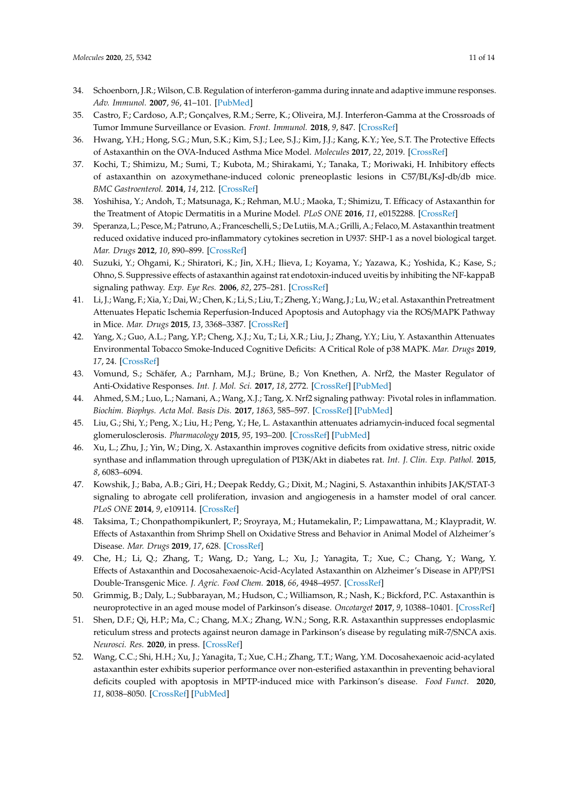- <span id="page-10-0"></span>34. Schoenborn, J.R.; Wilson, C.B. Regulation of interferon-gamma during innate and adaptive immune responses. *Adv. Immunol.* **2007**, *96*, 41–101. [\[PubMed\]](http://www.ncbi.nlm.nih.gov/pubmed/17981204)
- <span id="page-10-1"></span>35. Castro, F.; Cardoso, A.P.; Gonçalves, R.M.; Serre, K.; Oliveira, M.J. Interferon-Gamma at the Crossroads of Tumor Immune Surveillance or Evasion. *Front. Immunol.* **2018**, *9*, 847. [\[CrossRef\]](http://dx.doi.org/10.3389/fimmu.2018.00847)
- <span id="page-10-2"></span>36. Hwang, Y.H.; Hong, S.G.; Mun, S.K.; Kim, S.J.; Lee, S.J.; Kim, J.J.; Kang, K.Y.; Yee, S.T. The Protective Effects of Astaxanthin on the OVA-Induced Asthma Mice Model. *Molecules* **2017**, *22*, 2019. [\[CrossRef\]](http://dx.doi.org/10.3390/molecules22112019)
- <span id="page-10-3"></span>37. Kochi, T.; Shimizu, M.; Sumi, T.; Kubota, M.; Shirakami, Y.; Tanaka, T.; Moriwaki, H. Inhibitory effects of astaxanthin on azoxymethane-induced colonic preneoplastic lesions in C57/BL/KsJ-db/db mice. *BMC Gastroenterol.* **2014**, *14*, 212. [\[CrossRef\]](http://dx.doi.org/10.1186/s12876-014-0212-z)
- <span id="page-10-4"></span>38. Yoshihisa, Y.; Andoh, T.; Matsunaga, K.; Rehman, M.U.; Maoka, T.; Shimizu, T. Efficacy of Astaxanthin for the Treatment of Atopic Dermatitis in a Murine Model. *PLoS ONE* **2016**, *11*, e0152288. [\[CrossRef\]](http://dx.doi.org/10.1371/journal.pone.0152288)
- <span id="page-10-5"></span>39. Speranza, L.; Pesce,M.; Patruno, A.; Franceschelli, S.; De Lutiis,M.A.; Grilli, A.; Felaco,M.Astaxanthin treatment reduced oxidative induced pro-inflammatory cytokines secretion in U937: SHP-1 as a novel biological target. *Mar. Drugs* **2012**, *10*, 890–899. [\[CrossRef\]](http://dx.doi.org/10.3390/md10040890)
- <span id="page-10-6"></span>40. Suzuki, Y.; Ohgami, K.; Shiratori, K.; Jin, X.H.; Ilieva, I.; Koyama, Y.; Yazawa, K.; Yoshida, K.; Kase, S.; Ohno, S. Suppressive effects of astaxanthin against rat endotoxin-induced uveitis by inhibiting the NF-kappaB signaling pathway. *Exp. Eye Res.* **2006**, *82*, 275–281. [\[CrossRef\]](http://dx.doi.org/10.1016/j.exer.2005.06.023)
- <span id="page-10-7"></span>41. Li, J.; Wang, F.; Xia, Y.; Dai,W.; Chen, K.; Li, S.; Liu, T.; Zheng, Y.; Wang, J.; Lu,W.; et al. Astaxanthin Pretreatment Attenuates Hepatic Ischemia Reperfusion-Induced Apoptosis and Autophagy via the ROS/MAPK Pathway in Mice. *Mar. Drugs* **2015**, *13*, 3368–3387. [\[CrossRef\]](http://dx.doi.org/10.3390/md13063368)
- <span id="page-10-8"></span>42. Yang, X.; Guo, A.L.; Pang, Y.P.; Cheng, X.J.; Xu, T.; Li, X.R.; Liu, J.; Zhang, Y.Y.; Liu, Y. Astaxanthin Attenuates Environmental Tobacco Smoke-Induced Cognitive Deficits: A Critical Role of p38 MAPK. *Mar. Drugs* **2019**, *17*, 24. [\[CrossRef\]](http://dx.doi.org/10.3390/md17010024)
- <span id="page-10-9"></span>43. Vomund, S.; Schäfer, A.; Parnham, M.J.; Brüne, B.; Von Knethen, A. Nrf2, the Master Regulator of Anti-Oxidative Responses. *Int. J. Mol. Sci.* **2017**, *18*, 2772. [\[CrossRef\]](http://dx.doi.org/10.3390/ijms18122772) [\[PubMed\]](http://www.ncbi.nlm.nih.gov/pubmed/29261130)
- <span id="page-10-10"></span>44. Ahmed, S.M.; Luo, L.; Namani, A.; Wang, X.J.; Tang, X. Nrf2 signaling pathway: Pivotal roles in inflammation. *Biochim. Biophys. Acta Mol. Basis Dis.* **2017**, *1863*, 585–597. [\[CrossRef\]](http://dx.doi.org/10.1016/j.bbadis.2016.11.005) [\[PubMed\]](http://www.ncbi.nlm.nih.gov/pubmed/27825853)
- <span id="page-10-11"></span>45. Liu, G.; Shi, Y.; Peng, X.; Liu, H.; Peng, Y.; He, L. Astaxanthin attenuates adriamycin-induced focal segmental glomerulosclerosis. *Pharmacology* **2015**, *95*, 193–200. [\[CrossRef\]](http://dx.doi.org/10.1159/000381314) [\[PubMed\]](http://www.ncbi.nlm.nih.gov/pubmed/25924598)
- <span id="page-10-12"></span>46. Xu, L.; Zhu, J.; Yin, W.; Ding, X. Astaxanthin improves cognitive deficits from oxidative stress, nitric oxide synthase and inflammation through upregulation of PI3K/Akt in diabetes rat. *Int. J. Clin. Exp. Pathol.* **2015**, *8*, 6083–6094.
- <span id="page-10-13"></span>47. Kowshik, J.; Baba, A.B.; Giri, H.; Deepak Reddy, G.; Dixit, M.; Nagini, S. Astaxanthin inhibits JAK/STAT-3 signaling to abrogate cell proliferation, invasion and angiogenesis in a hamster model of oral cancer. *PLoS ONE* **2014**, *9*, e109114. [\[CrossRef\]](http://dx.doi.org/10.1371/journal.pone.0109114)
- <span id="page-10-14"></span>48. Taksima, T.; Chonpathompikunlert, P.; Sroyraya, M.; Hutamekalin, P.; Limpawattana, M.; Klaypradit, W. Effects of Astaxanthin from Shrimp Shell on Oxidative Stress and Behavior in Animal Model of Alzheimer's Disease. *Mar. Drugs* **2019**, *17*, 628. [\[CrossRef\]](http://dx.doi.org/10.3390/md17110628)
- <span id="page-10-15"></span>49. Che, H.; Li, Q.; Zhang, T.; Wang, D.; Yang, L.; Xu, J.; Yanagita, T.; Xue, C.; Chang, Y.; Wang, Y. Effects of Astaxanthin and Docosahexaenoic-Acid-Acylated Astaxanthin on Alzheimer's Disease in APP/PS1 Double-Transgenic Mice. *J. Agric. Food Chem.* **2018**, *66*, 4948–4957. [\[CrossRef\]](http://dx.doi.org/10.1021/acs.jafc.8b00988)
- <span id="page-10-16"></span>50. Grimmig, B.; Daly, L.; Subbarayan, M.; Hudson, C.; Williamson, R.; Nash, K.; Bickford, P.C. Astaxanthin is neuroprotective in an aged mouse model of Parkinson's disease. *Oncotarget* **2017**, *9*, 10388–10401. [\[CrossRef\]](http://dx.doi.org/10.18632/oncotarget.23737)
- <span id="page-10-17"></span>51. Shen, D.F.; Qi, H.P.; Ma, C.; Chang, M.X.; Zhang, W.N.; Song, R.R. Astaxanthin suppresses endoplasmic reticulum stress and protects against neuron damage in Parkinson's disease by regulating miR-7/SNCA axis. *Neurosci. Res.* **2020**, in press. [\[CrossRef\]](http://dx.doi.org/10.1016/j.neures.2020.04.003)
- <span id="page-10-18"></span>52. Wang, C.C.; Shi, H.H.; Xu, J.; Yanagita, T.; Xue, C.H.; Zhang, T.T.; Wang, Y.M. Docosahexaenoic acid-acylated astaxanthin ester exhibits superior performance over non-esterified astaxanthin in preventing behavioral deficits coupled with apoptosis in MPTP-induced mice with Parkinson's disease. *Food Funct.* **2020**, *11*, 8038–8050. [\[CrossRef\]](http://dx.doi.org/10.1039/D0FO01176B) [\[PubMed\]](http://www.ncbi.nlm.nih.gov/pubmed/32845953)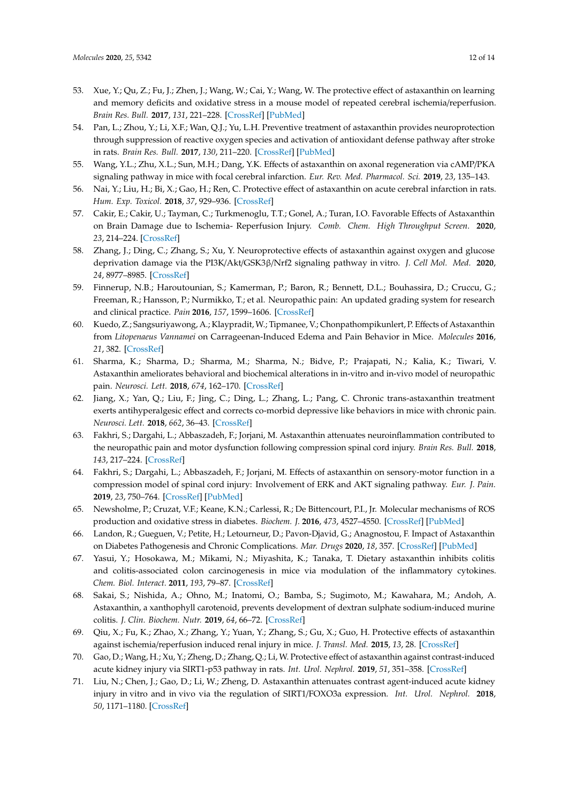- <span id="page-11-0"></span>53. Xue, Y.; Qu, Z.; Fu, J.; Zhen, J.; Wang, W.; Cai, Y.; Wang, W. The protective effect of astaxanthin on learning and memory deficits and oxidative stress in a mouse model of repeated cerebral ischemia/reperfusion. *Brain Res. Bull.* **2017**, *131*, 221–228. [\[CrossRef\]](http://dx.doi.org/10.1016/j.brainresbull.2017.04.019) [\[PubMed\]](http://www.ncbi.nlm.nih.gov/pubmed/28479214)
- <span id="page-11-1"></span>54. Pan, L.; Zhou, Y.; Li, X.F.; Wan, Q.J.; Yu, L.H. Preventive treatment of astaxanthin provides neuroprotection through suppression of reactive oxygen species and activation of antioxidant defense pathway after stroke in rats. *Brain Res. Bull.* **2017**, *130*, 211–220. [\[CrossRef\]](http://dx.doi.org/10.1016/j.brainresbull.2017.01.024) [\[PubMed\]](http://www.ncbi.nlm.nih.gov/pubmed/28161193)
- <span id="page-11-2"></span>55. Wang, Y.L.; Zhu, X.L.; Sun, M.H.; Dang, Y.K. Effects of astaxanthin on axonal regeneration via cAMP/PKA signaling pathway in mice with focal cerebral infarction. *Eur. Rev. Med. Pharmacol. Sci.* **2019**, *23*, 135–143.
- <span id="page-11-3"></span>56. Nai, Y.; Liu, H.; Bi, X.; Gao, H.; Ren, C. Protective effect of astaxanthin on acute cerebral infarction in rats. *Hum. Exp. Toxicol.* **2018**, *37*, 929–936. [\[CrossRef\]](http://dx.doi.org/10.1177/0960327117745693)
- <span id="page-11-4"></span>57. Cakir, E.; Cakir, U.; Tayman, C.; Turkmenoglu, T.T.; Gonel, A.; Turan, I.O. Favorable Effects of Astaxanthin on Brain Damage due to Ischemia- Reperfusion Injury. *Comb. Chem. High Throughput Screen.* **2020**, *23*, 214–224. [\[CrossRef\]](http://dx.doi.org/10.2174/1386207323666200219121600)
- <span id="page-11-5"></span>58. Zhang, J.; Ding, C.; Zhang, S.; Xu, Y. Neuroprotective effects of astaxanthin against oxygen and glucose deprivation damage via the PI3K/Akt/GSK3β/Nrf2 signaling pathway in vitro. *J. Cell Mol. Med.* **2020**, *24*, 8977–8985. [\[CrossRef\]](http://dx.doi.org/10.1111/jcmm.15531)
- <span id="page-11-6"></span>59. Finnerup, N.B.; Haroutounian, S.; Kamerman, P.; Baron, R.; Bennett, D.L.; Bouhassira, D.; Cruccu, G.; Freeman, R.; Hansson, P.; Nurmikko, T.; et al. Neuropathic pain: An updated grading system for research and clinical practice. *Pain* **2016**, *157*, 1599–1606. [\[CrossRef\]](http://dx.doi.org/10.1097/j.pain.0000000000000492)
- <span id="page-11-7"></span>60. Kuedo, Z.; Sangsuriyawong, A.; Klaypradit, W.; Tipmanee, V.; Chonpathompikunlert, P. Effects of Astaxanthin from *Litopenaeus Vannamei* on Carrageenan-Induced Edema and Pain Behavior in Mice. *Molecules* **2016**, *21*, 382. [\[CrossRef\]](http://dx.doi.org/10.3390/molecules21030382)
- <span id="page-11-8"></span>61. Sharma, K.; Sharma, D.; Sharma, M.; Sharma, N.; Bidve, P.; Prajapati, N.; Kalia, K.; Tiwari, V. Astaxanthin ameliorates behavioral and biochemical alterations in in-vitro and in-vivo model of neuropathic pain. *Neurosci. Lett.* **2018**, *674*, 162–170. [\[CrossRef\]](http://dx.doi.org/10.1016/j.neulet.2018.03.030)
- <span id="page-11-9"></span>62. Jiang, X.; Yan, Q.; Liu, F.; Jing, C.; Ding, L.; Zhang, L.; Pang, C. Chronic trans-astaxanthin treatment exerts antihyperalgesic effect and corrects co-morbid depressive like behaviors in mice with chronic pain. *Neurosci. Lett.* **2018**, *662*, 36–43. [\[CrossRef\]](http://dx.doi.org/10.1016/j.neulet.2017.09.064)
- <span id="page-11-10"></span>63. Fakhri, S.; Dargahi, L.; Abbaszadeh, F.; Jorjani, M. Astaxanthin attenuates neuroinflammation contributed to the neuropathic pain and motor dysfunction following compression spinal cord injury. *Brain Res. Bull.* **2018**, *143*, 217–224. [\[CrossRef\]](http://dx.doi.org/10.1016/j.brainresbull.2018.09.011)
- <span id="page-11-11"></span>64. Fakhri, S.; Dargahi, L.; Abbaszadeh, F.; Jorjani, M. Effects of astaxanthin on sensory-motor function in a compression model of spinal cord injury: Involvement of ERK and AKT signaling pathway. *Eur. J. Pain.* **2019**, *23*, 750–764. [\[CrossRef\]](http://dx.doi.org/10.1002/ejp.1342) [\[PubMed\]](http://www.ncbi.nlm.nih.gov/pubmed/30427581)
- <span id="page-11-12"></span>65. Newsholme, P.; Cruzat, V.F.; Keane, K.N.; Carlessi, R.; De Bittencourt, P.I., Jr. Molecular mechanisms of ROS production and oxidative stress in diabetes. *Biochem. J.* **2016**, *473*, 4527–4550. [\[CrossRef\]](http://dx.doi.org/10.1042/BCJ20160503C) [\[PubMed\]](http://www.ncbi.nlm.nih.gov/pubmed/27941030)
- <span id="page-11-13"></span>66. Landon, R.; Gueguen, V.; Petite, H.; Letourneur, D.; Pavon-Djavid, G.; Anagnostou, F. Impact of Astaxanthin on Diabetes Pathogenesis and Chronic Complications. *Mar. Drugs* **2020**, *18*, 357. [\[CrossRef\]](http://dx.doi.org/10.3390/md18070357) [\[PubMed\]](http://www.ncbi.nlm.nih.gov/pubmed/32660119)
- <span id="page-11-14"></span>67. Yasui, Y.; Hosokawa, M.; Mikami, N.; Miyashita, K.; Tanaka, T. Dietary astaxanthin inhibits colitis and colitis-associated colon carcinogenesis in mice via modulation of the inflammatory cytokines. *Chem. Biol. Interact.* **2011**, *193*, 79–87. [\[CrossRef\]](http://dx.doi.org/10.1016/j.cbi.2011.05.006)
- <span id="page-11-15"></span>68. Sakai, S.; Nishida, A.; Ohno, M.; Inatomi, O.; Bamba, S.; Sugimoto, M.; Kawahara, M.; Andoh, A. Astaxanthin, a xanthophyll carotenoid, prevents development of dextran sulphate sodium-induced murine colitis. *J. Clin. Biochem. Nutr.* **2019**, *64*, 66–72. [\[CrossRef\]](http://dx.doi.org/10.3164/jcbn.18-47)
- <span id="page-11-16"></span>69. Qiu, X.; Fu, K.; Zhao, X.; Zhang, Y.; Yuan, Y.; Zhang, S.; Gu, X.; Guo, H. Protective effects of astaxanthin against ischemia/reperfusion induced renal injury in mice. *J. Transl. Med.* **2015**, *13*, 28. [\[CrossRef\]](http://dx.doi.org/10.1186/s12967-015-0388-1)
- <span id="page-11-17"></span>70. Gao, D.; Wang, H.; Xu, Y.; Zheng, D.; Zhang, Q.; Li, W. Protective effect of astaxanthin against contrast-induced acute kidney injury via SIRT1-p53 pathway in rats. *Int. Urol. Nephrol.* **2019**, *51*, 351–358. [\[CrossRef\]](http://dx.doi.org/10.1007/s11255-018-2027-2)
- <span id="page-11-18"></span>71. Liu, N.; Chen, J.; Gao, D.; Li, W.; Zheng, D. Astaxanthin attenuates contrast agent-induced acute kidney injury in vitro and in vivo via the regulation of SIRT1/FOXO3a expression. *Int. Urol. Nephrol.* **2018**, *50*, 1171–1180. [\[CrossRef\]](http://dx.doi.org/10.1007/s11255-018-1788-y)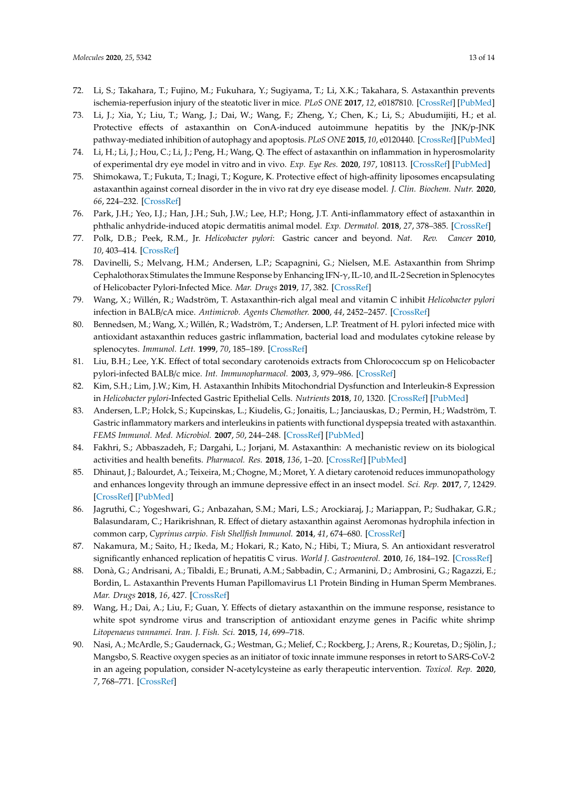- <span id="page-12-0"></span>72. Li, S.; Takahara, T.; Fujino, M.; Fukuhara, Y.; Sugiyama, T.; Li, X.K.; Takahara, S. Astaxanthin prevents ischemia-reperfusion injury of the steatotic liver in mice. *PLoS ONE* **2017**, *12*, e0187810. [\[CrossRef\]](http://dx.doi.org/10.1371/journal.pone.0187810) [\[PubMed\]](http://www.ncbi.nlm.nih.gov/pubmed/29121675)
- <span id="page-12-1"></span>73. Li, J.; Xia, Y.; Liu, T.; Wang, J.; Dai, W.; Wang, F.; Zheng, Y.; Chen, K.; Li, S.; Abudumijiti, H.; et al. Protective effects of astaxanthin on ConA-induced autoimmune hepatitis by the JNK/p-JNK pathway-mediated inhibition of autophagy and apoptosis. *PLoS ONE* **2015**, *10*, e0120440. [\[CrossRef\]](http://dx.doi.org/10.1371/journal.pone.0120440) [\[PubMed\]](http://www.ncbi.nlm.nih.gov/pubmed/25761053)
- <span id="page-12-2"></span>74. Li, H.; Li, J.; Hou, C.; Li, J.; Peng, H.; Wang, Q. The effect of astaxanthin on inflammation in hyperosmolarity of experimental dry eye model in vitro and in vivo. *Exp. Eye Res.* **2020**, *197*, 108113. [\[CrossRef\]](http://dx.doi.org/10.1016/j.exer.2020.108113) [\[PubMed\]](http://www.ncbi.nlm.nih.gov/pubmed/32531188)
- <span id="page-12-3"></span>75. Shimokawa, T.; Fukuta, T.; Inagi, T.; Kogure, K. Protective effect of high-affinity liposomes encapsulating astaxanthin against corneal disorder in the in vivo rat dry eye disease model. *J. Clin. Biochem. Nutr.* **2020**, *66*, 224–232. [\[CrossRef\]](http://dx.doi.org/10.3164/jcbn.19-102)
- <span id="page-12-4"></span>76. Park, J.H.; Yeo, I.J.; Han, J.H.; Suh, J.W.; Lee, H.P.; Hong, J.T. Anti-inflammatory effect of astaxanthin in phthalic anhydride-induced atopic dermatitis animal model. *Exp. Dermatol.* **2018**, *27*, 378–385. [\[CrossRef\]](http://dx.doi.org/10.1111/exd.13437)
- <span id="page-12-5"></span>77. Polk, D.B.; Peek, R.M., Jr. *Helicobacter pylori*: Gastric cancer and beyond. *Nat. Rev. Cancer* **2010**, *10*, 403–414. [\[CrossRef\]](http://dx.doi.org/10.1038/nrc2857)
- <span id="page-12-6"></span>78. Davinelli, S.; Melvang, H.M.; Andersen, L.P.; Scapagnini, G.; Nielsen, M.E. Astaxanthin from Shrimp Cephalothorax Stimulates the Immune Response by Enhancing IFN-γ, IL-10, and IL-2 Secretion in Splenocytes of Helicobacter Pylori-Infected Mice. *Mar. Drugs* **2019**, *17*, 382. [\[CrossRef\]](http://dx.doi.org/10.3390/md17070382)
- <span id="page-12-7"></span>79. Wang, X.; Willén, R.; Wadström, T. Astaxanthin-rich algal meal and vitamin C inhibit *Helicobacter pylori* infection in BALB/cA mice. *Antimicrob. Agents Chemother.* **2000**, *44*, 2452–2457. [\[CrossRef\]](http://dx.doi.org/10.1128/AAC.44.9.2452-2457.2000)
- <span id="page-12-11"></span>80. Bennedsen, M.; Wang, X.; Willén, R.; Wadström, T.; Andersen, L.P. Treatment of H. pylori infected mice with antioxidant astaxanthin reduces gastric inflammation, bacterial load and modulates cytokine release by splenocytes. *Immunol. Lett.* **1999**, *70*, 185–189. [\[CrossRef\]](http://dx.doi.org/10.1016/S0165-2478(99)00145-5)
- <span id="page-12-8"></span>81. Liu, B.H.; Lee, Y.K. Effect of total secondary carotenoids extracts from Chlorococcum sp on Helicobacter pylori-infected BALB/c mice. *Int. Immunopharmacol.* **2003**, *3*, 979–986. [\[CrossRef\]](http://dx.doi.org/10.1016/S1567-5769(03)00096-1)
- <span id="page-12-9"></span>82. Kim, S.H.; Lim, J.W.; Kim, H. Astaxanthin Inhibits Mitochondrial Dysfunction and Interleukin-8 Expression in *Helicobacter pylori*-Infected Gastric Epithelial Cells. *Nutrients* **2018**, *10*, 1320. [\[CrossRef\]](http://dx.doi.org/10.3390/nu10091320) [\[PubMed\]](http://www.ncbi.nlm.nih.gov/pubmed/30231525)
- <span id="page-12-10"></span>83. Andersen, L.P.; Holck, S.; Kupcinskas, L.; Kiudelis, G.; Jonaitis, L.; Janciauskas, D.; Permin, H.; Wadström, T. Gastric inflammatory markers and interleukins in patients with functional dyspepsia treated with astaxanthin. *FEMS Immunol. Med. Microbiol.* **2007**, *50*, 244–248. [\[CrossRef\]](http://dx.doi.org/10.1111/j.1574-695X.2007.00257.x) [\[PubMed\]](http://www.ncbi.nlm.nih.gov/pubmed/17521392)
- <span id="page-12-12"></span>84. Fakhri, S.; Abbaszadeh, F.; Dargahi, L.; Jorjani, M. Astaxanthin: A mechanistic review on its biological activities and health benefits. *Pharmacol. Res.* **2018**, *136*, 1–20. [\[CrossRef\]](http://dx.doi.org/10.1016/j.phrs.2018.08.012) [\[PubMed\]](http://www.ncbi.nlm.nih.gov/pubmed/30121358)
- <span id="page-12-13"></span>85. Dhinaut, J.; Balourdet, A.; Teixeira, M.; Chogne, M.; Moret, Y. A dietary carotenoid reduces immunopathology and enhances longevity through an immune depressive effect in an insect model. *Sci. Rep.* **2017**, *7*, 12429. [\[CrossRef\]](http://dx.doi.org/10.1038/s41598-017-12769-7) [\[PubMed\]](http://www.ncbi.nlm.nih.gov/pubmed/28963510)
- <span id="page-12-14"></span>86. Jagruthi, C.; Yogeshwari, G.; Anbazahan, S.M.; Mari, L.S.; Arockiaraj, J.; Mariappan, P.; Sudhakar, G.R.; Balasundaram, C.; Harikrishnan, R. Effect of dietary astaxanthin against Aeromonas hydrophila infection in common carp, *Cyprinus carpio*. *Fish Shellfish Immunol.* **2014**, *41*, 674–680. [\[CrossRef\]](http://dx.doi.org/10.1016/j.fsi.2014.10.010)
- <span id="page-12-15"></span>87. Nakamura, M.; Saito, H.; Ikeda, M.; Hokari, R.; Kato, N.; Hibi, T.; Miura, S. An antioxidant resveratrol significantly enhanced replication of hepatitis C virus. *World J. Gastroenterol.* **2010**, *16*, 184–192. [\[CrossRef\]](http://dx.doi.org/10.3748/wjg.v16.i2.184)
- <span id="page-12-16"></span>88. Donà, G.; Andrisani, A.; Tibaldi, E.; Brunati, A.M.; Sabbadin, C.; Armanini, D.; Ambrosini, G.; Ragazzi, E.; Bordin, L. Astaxanthin Prevents Human Papillomavirus L1 Protein Binding in Human Sperm Membranes. *Mar. Drugs* **2018**, *16*, 427. [\[CrossRef\]](http://dx.doi.org/10.3390/md16110427)
- <span id="page-12-17"></span>89. Wang, H.; Dai, A.; Liu, F.; Guan, Y. Effects of dietary astaxanthin on the immune response, resistance to white spot syndrome virus and transcription of antioxidant enzyme genes in Pacific white shrimp *Litopenaeus vannamei*. *Iran. J. Fish. Sci.* **2015**, *14*, 699–718.
- <span id="page-12-18"></span>90. Nasi, A.; McArdle, S.; Gaudernack, G.; Westman, G.; Melief, C.; Rockberg, J.; Arens, R.; Kouretas, D.; Sjölin, J.; Mangsbo, S. Reactive oxygen species as an initiator of toxic innate immune responses in retort to SARS-CoV-2 in an ageing population, consider N-acetylcysteine as early therapeutic intervention. *Toxicol. Rep.* **2020**, *7*, 768–771. [\[CrossRef\]](http://dx.doi.org/10.1016/j.toxrep.2020.06.003)